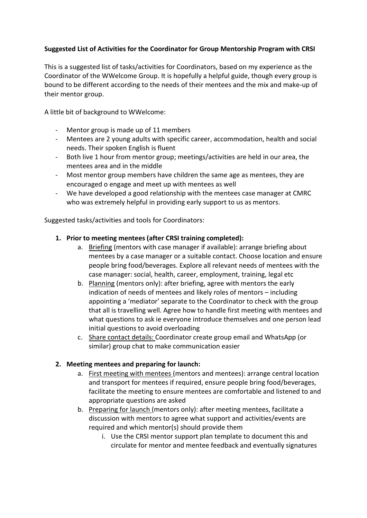# Suggested List of Activities for the Coordinator for Group Mentorship Program with CRSI

This is a suggested list of tasks/activities for Coordinators, based on my experience as the Coordinator of the WWelcome Group. It is hopefully a helpful guide, though every group is bound to be different according to the needs of their mentees and the mix and make-up of their mentor group.

A little bit of background to WWelcome:

- Mentor group is made up of 11 members
- Mentees are 2 young adults with specific career, accommodation, health and social needs. Their spoken English is fluent
- Both live 1 hour from mentor group; meetings/activities are held in our area, the mentees area and in the middle
- Most mentor group members have children the same age as mentees, they are encouraged o engage and meet up with mentees as well
- We have developed a good relationship with the mentees case manager at CMRC who was extremely helpful in providing early support to us as mentors.

Suggested tasks/activities and tools for Coordinators:

# 1. Prior to meeting mentees (after CRSI training completed):

- a. Briefing (mentors with case manager if available): arrange briefing about mentees by a case manager or a suitable contact. Choose location and ensure people bring food/beverages. Explore all relevant needs of mentees with the case manager: social, health, career, employment, training, legal etc
- b. Planning (mentors only): after briefing, agree with mentors the early indication of needs of mentees and likely roles of mentors – including appointing a 'mediator' separate to the Coordinator to check with the group that all is travelling well. Agree how to handle first meeting with mentees and what questions to ask ie everyone introduce themselves and one person lead initial questions to avoid overloading
- c. Share contact details: Coordinator create group email and WhatsApp (or similar) group chat to make communication easier

### 2. Meeting mentees and preparing for launch:

- a. First meeting with mentees (mentors and mentees): arrange central location and transport for mentees if required, ensure people bring food/beverages, facilitate the meeting to ensure mentees are comfortable and listened to and appropriate questions are asked
- b. Preparing for launch (mentors only): after meeting mentees, facilitate a discussion with mentors to agree what support and activities/events are required and which mentor(s) should provide them
	- i. Use the CRSI mentor support plan template to document this and circulate for mentor and mentee feedback and eventually signatures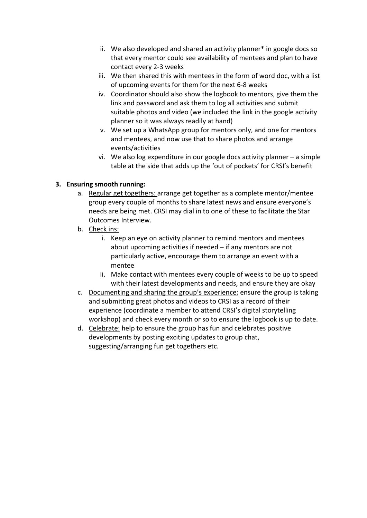- ii. We also developed and shared an activity planner\* in google docs so that every mentor could see availability of mentees and plan to have contact every 2-3 weeks
- iii. We then shared this with mentees in the form of word doc, with a list of upcoming events for them for the next 6-8 weeks
- iv. Coordinator should also show the logbook to mentors, give them the link and password and ask them to log all activities and submit suitable photos and video (we included the link in the google activity planner so it was always readily at hand)
- v. We set up a WhatsApp group for mentors only, and one for mentors and mentees, and now use that to share photos and arrange events/activities
- vi. We also log expenditure in our google docs activity planner a simple table at the side that adds up the 'out of pockets' for CRSI's benefit

# 3. Ensuring smooth running:

- a. Regular get togethers: arrange get together as a complete mentor/mentee group every couple of months to share latest news and ensure everyone's needs are being met. CRSI may dial in to one of these to facilitate the Star Outcomes Interview.
- b. Check ins:
	- i. Keep an eye on activity planner to remind mentors and mentees about upcoming activities if needed – if any mentors are not particularly active, encourage them to arrange an event with a mentee
	- ii. Make contact with mentees every couple of weeks to be up to speed with their latest developments and needs, and ensure they are okay
- c. Documenting and sharing the group's experience: ensure the group is taking and submitting great photos and videos to CRSI as a record of their experience (coordinate a member to attend CRSI's digital storytelling workshop) and check every month or so to ensure the logbook is up to date.
- d. Celebrate: help to ensure the group has fun and celebrates positive developments by posting exciting updates to group chat, suggesting/arranging fun get togethers etc.